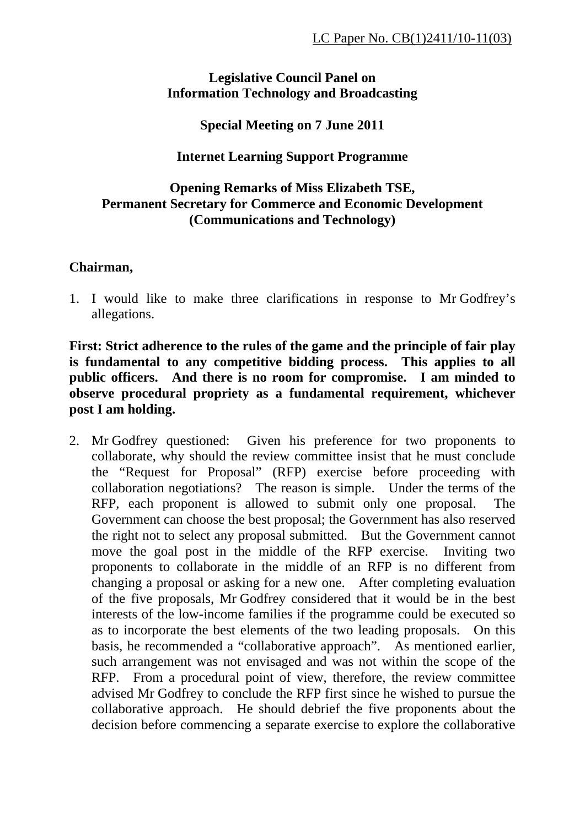### **Legislative Council Panel on Information Technology and Broadcasting**

# **Special Meeting on 7 June 2011**

# **Internet Learning Support Programme**

# **Opening Remarks of Miss Elizabeth TSE, Permanent Secretary for Commerce and Economic Development (Communications and Technology)**

### **Chairman,**

1. I would like to make three clarifications in response to Mr Godfrey's allegations.

**First: Strict adherence to the rules of the game and the principle of fair play is fundamental to any competitive bidding process. This applies to all public officers. And there is no room for compromise. I am minded to observe procedural propriety as a fundamental requirement, whichever post I am holding.** 

2. Mr Godfrey questioned: Given his preference for two proponents to collaborate, why should the review committee insist that he must conclude the "Request for Proposal" (RFP) exercise before proceeding with collaboration negotiations? The reason is simple. Under the terms of the RFP, each proponent is allowed to submit only one proposal. The Government can choose the best proposal; the Government has also reserved the right not to select any proposal submitted. But the Government cannot move the goal post in the middle of the RFP exercise. Inviting two proponents to collaborate in the middle of an RFP is no different from changing a proposal or asking for a new one. After completing evaluation of the five proposals, Mr Godfrey considered that it would be in the best interests of the low-income families if the programme could be executed so as to incorporate the best elements of the two leading proposals. On this basis, he recommended a "collaborative approach". As mentioned earlier, such arrangement was not envisaged and was not within the scope of the RFP. From a procedural point of view, therefore, the review committee advised Mr Godfrey to conclude the RFP first since he wished to pursue the collaborative approach. He should debrief the five proponents about the decision before commencing a separate exercise to explore the collaborative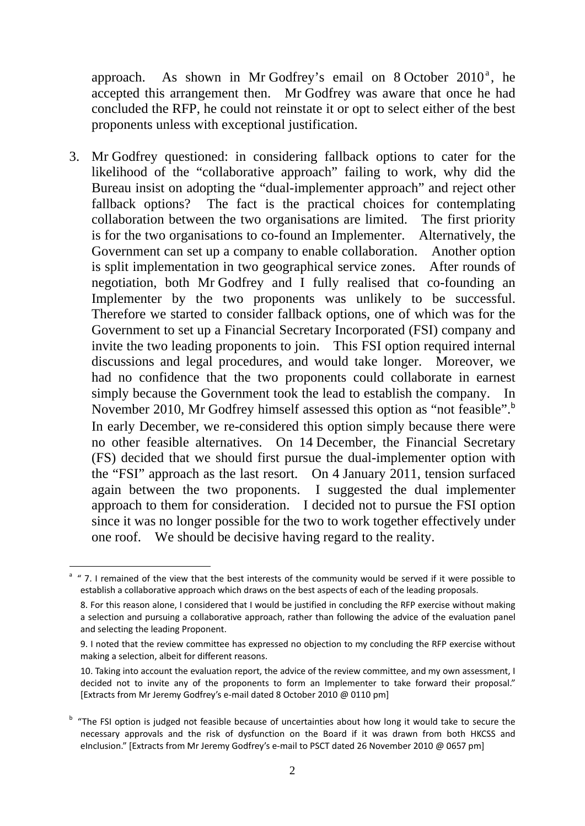approach. As shown in Mr Godfrey's email on 8 October  $2010^a$ , he accepted this arrangement then. Mr Godfrey was aware that once he had concluded the RFP, he could not reinstate it or opt to select either of the best proponents unless with exceptional justification.

3. Mr Godfrey questioned: in considering fallback options to cater for the likelihood of the "collaborative approach" failing to work, why did the Bureau insist on adopting the "dual-implementer approach" and reject other fallback options? The fact is the practical choices for contemplating collaboration between the two organisations are limited. The first priority is for the two organisations to co-found an Implementer. Alternatively, the Government can set up a company to enable collaboration. Another option is split implementation in two geographical service zones. After rounds of negotiation, both Mr Godfrey and I fully realised that co-founding an Implementer by the two proponents was unlikely to be successful. Therefore we started to consider fallback options, one of which was for the Government to set up a Financial Secretary Incorporated (FSI) company and invite the two leading proponents to join. This FSI option required internal discussions and legal procedures, and would take longer. Moreover, we had no confidence that the two proponents could collaborate in earnest simply because the Government took the lead to establish the company. In November 2010, Mr Godfrey himself assessed this option as "not feasible".<sup>b</sup> In early December, we re-considered this option simply because there were no other feasible alternatives. On 14 December, the Financial Secretary (FS) decided that we should first pursue the dual-implementer option with the "FSI" approach as the last resort. On 4 January 2011, tension surfaced again between the two proponents. I suggested the dual implementer approach to them for consideration. I decided not to pursue the FSI option since it was no longer possible for the two to work together effectively under one roof. We should be decisive having regard to the reality.

 $\overline{a}$ 

a " 7. I remained of the view that the best interests of the community would be served if it were possible to establish a collaborative approach which draws on the best aspects of each of the leading proposals.

<sup>8.</sup> For this reason alone, I considered that I would be justified in concluding the RFP exercise without making a selection and pursuing a collaborative approach, rather than following the advice of the evaluation panel and selecting the leading Proponent.

<sup>9.</sup> I noted that the review committee has expressed no objection to my concluding the RFP exercise without making a selection, albeit for different reasons.

<sup>10.</sup> Taking into account the evaluation report, the advice of the review committee, and my own assessment, I decided not to invite any of the proponents to form an Implementer to take forward their proposal." [Extracts from Mr Jeremy Godfrey's e-mail dated 8 October 2010 @ 0110 pm]

<sup>&</sup>lt;sup>b</sup> "The FSI option is judged not feasible because of uncertainties about how long it would take to secure the necessary approvals and the risk of dysfunction on the Board if it was drawn from both HKCSS and eInclusion." [Extracts from Mr Jeremy Godfrey's e-mail to PSCT dated 26 November 2010 @ 0657 pm]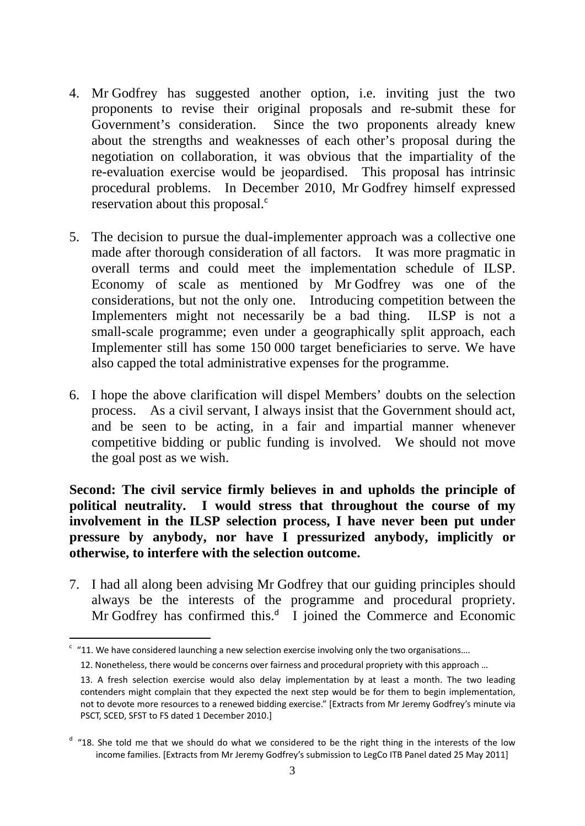- 4. Mr Godfrey has suggested another option, i.e. inviting just the two proponents to revise their original proposals and re-submit these for Government's consideration. Since the two proponents already knew about the strengths and weaknesses of each other's proposal during the negotiation on collaboration, it was obvious that the impartiality of the re-evaluation exercise would be jeopardised. This proposal has intrinsic procedural problems. In December 2010, Mr Godfrey himself expressed reservation about this proposal.<sup>c</sup>
- 5. The decision to pursue the dual-implementer approach was a collective one made after thorough consideration of all factors. It was more pragmatic in overall terms and could meet the implementation schedule of ILSP. Economy of scale as mentioned by Mr Godfrey was one of the considerations, but not the only one. Introducing competition between the Implementers might not necessarily be a bad thing. ILSP is not a small-scale programme; even under a geographically split approach, each Implementer still has some 150 000 target beneficiaries to serve. We have also capped the total administrative expenses for the programme.
- 6. I hope the above clarification will dispel Members' doubts on the selection process. As a civil servant, I always insist that the Government should act, and be seen to be acting, in a fair and impartial manner whenever competitive bidding or public funding is involved. We should not move the goal post as we wish.

**Second: The civil service firmly believes in and upholds the principle of political neutrality. I would stress that throughout the course of my involvement in the ILSP selection process, I have never been put under pressure by anybody, nor have I pressurized anybody, implicitly or otherwise, to interfere with the selection outcome.** 

7. I had all along been advising Mr Godfrey that our guiding principles should always be the interests of the programme and procedural propriety. Mr Godfrey has confirmed this. $d$  I joined the Commerce and Economic

 $\overline{a}$  $\degree$  "11. We have considered launching a new selection exercise involving only the two organisations....

<sup>12.</sup> Nonetheless, there would be concerns over fairness and procedural propriety with this approach …

<sup>13.</sup> A fresh selection exercise would also delay implementation by at least a month. The two leading contenders might complain that they expected the next step would be for them to begin implementation, not to devote more resources to a renewed bidding exercise." [Extracts from Mr Jeremy Godfrey's minute via PSCT, SCED, SFST to FS dated 1 December 2010.]

<sup>&</sup>lt;sup>d</sup> "18. She told me that we should do what we considered to be the right thing in the interests of the low income families. [Extracts from Mr Jeremy Godfrey's submission to LegCo ITB Panel dated 25 May 2011]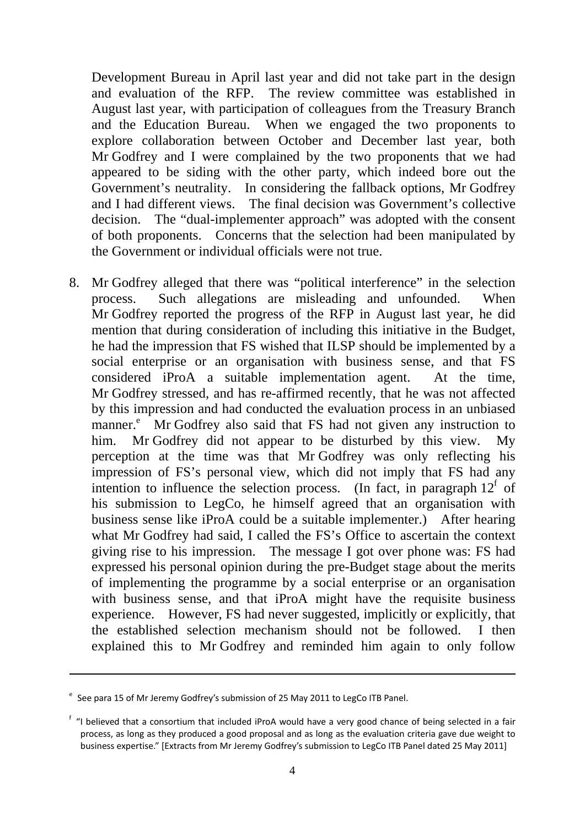Development Bureau in April last year and did not take part in the design and evaluation of the RFP. The review committee was established in August last year, with participation of colleagues from the Treasury Branch and the Education Bureau. When we engaged the two proponents to explore collaboration between October and December last year, both Mr Godfrey and I were complained by the two proponents that we had appeared to be siding with the other party, which indeed bore out the Government's neutrality. In considering the fallback options, Mr Godfrey and I had different views. The final decision was Government's collective decision. The "dual-implementer approach" was adopted with the consent of both proponents. Concerns that the selection had been manipulated by the Government or individual officials were not true.

8. Mr Godfrey alleged that there was "political interference" in the selection process. Such allegations are misleading and unfounded. When Mr Godfrey reported the progress of the RFP in August last year, he did mention that during consideration of including this initiative in the Budget, he had the impression that FS wished that ILSP should be implemented by a social enterprise or an organisation with business sense, and that FS considered iProA a suitable implementation agent. At the time, Mr Godfrey stressed, and has re-affirmed recently, that he was not affected by this impression and had conducted the evaluation process in an unbiased manner.<sup>e</sup> Mr Godfrey also said that FS had not given any instruction to him. Mr Godfrey did not appear to be disturbed by this view. My perception at the time was that Mr Godfrey was only reflecting his impression of FS's personal view, which did not imply that FS had any intention to influence the selection process. (In fact, in paragraph  $12^f$  of his submission to LegCo, he himself agreed that an organisation with business sense like iProA could be a suitable implementer.) After hearing what Mr Godfrey had said, I called the FS's Office to ascertain the context giving rise to his impression. The message I got over phone was: FS had expressed his personal opinion during the pre-Budget stage about the merits of implementing the programme by a social enterprise or an organisation with business sense, and that iProA might have the requisite business experience. However, FS had never suggested, implicitly or explicitly, that the established selection mechanism should not be followed. I then explained this to Mr Godfrey and reminded him again to only follow

 $\overline{a}$ 

<sup>&</sup>lt;sup>e</sup> See para 15 of Mr Jeremy Godfrey's submission of 25 May 2011 to LegCo ITB Panel.

<sup>&</sup>lt;sup>f</sup> "I believed that a consortium that included iProA would have a very good chance of being selected in a fair process, as long as they produced a good proposal and as long as the evaluation criteria gave due weight to business expertise." [Extracts from Mr Jeremy Godfrey's submission to LegCo ITB Panel dated 25 May 2011]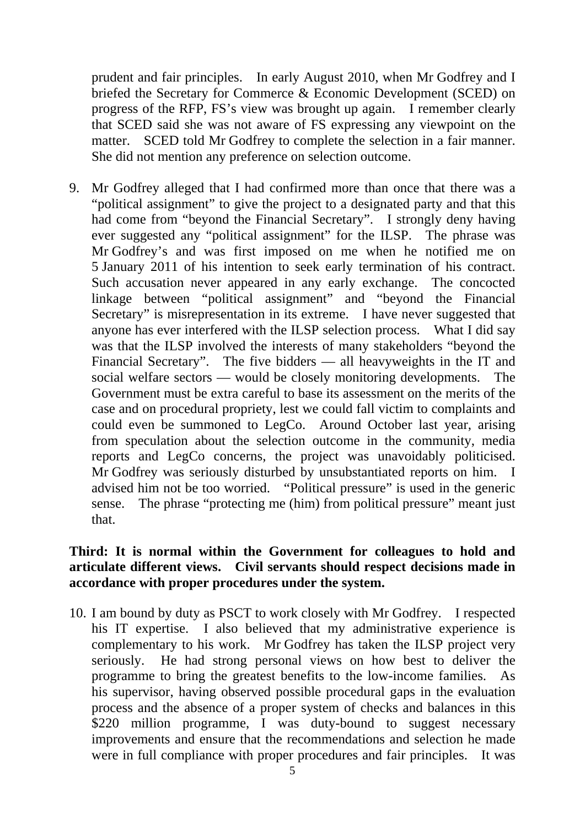prudent and fair principles. In early August 2010, when Mr Godfrey and I briefed the Secretary for Commerce & Economic Development (SCED) on progress of the RFP, FS's view was brought up again. I remember clearly that SCED said she was not aware of FS expressing any viewpoint on the matter. SCED told Mr Godfrey to complete the selection in a fair manner. She did not mention any preference on selection outcome.

9. Mr Godfrey alleged that I had confirmed more than once that there was a "political assignment" to give the project to a designated party and that this had come from "beyond the Financial Secretary". I strongly deny having ever suggested any "political assignment" for the ILSP. The phrase was Mr Godfrey's and was first imposed on me when he notified me on 5 January 2011 of his intention to seek early termination of his contract. Such accusation never appeared in any early exchange. The concocted linkage between "political assignment" and "beyond the Financial Secretary" is misrepresentation in its extreme. I have never suggested that anyone has ever interfered with the ILSP selection process. What I did say was that the ILSP involved the interests of many stakeholders "beyond the Financial Secretary". The five bidders — all heavyweights in the IT and social welfare sectors — would be closely monitoring developments. The Government must be extra careful to base its assessment on the merits of the case and on procedural propriety, lest we could fall victim to complaints and could even be summoned to LegCo. Around October last year, arising from speculation about the selection outcome in the community, media reports and LegCo concerns, the project was unavoidably politicised. Mr Godfrey was seriously disturbed by unsubstantiated reports on him. I advised him not be too worried. "Political pressure" is used in the generic sense. The phrase "protecting me (him) from political pressure" meant just that.

### **Third: It is normal within the Government for colleagues to hold and articulate different views. Civil servants should respect decisions made in accordance with proper procedures under the system.**

10. I am bound by duty as PSCT to work closely with Mr Godfrey. I respected his IT expertise. I also believed that my administrative experience is complementary to his work. Mr Godfrey has taken the ILSP project very seriously. He had strong personal views on how best to deliver the programme to bring the greatest benefits to the low-income families. As his supervisor, having observed possible procedural gaps in the evaluation process and the absence of a proper system of checks and balances in this \$220 million programme, I was duty-bound to suggest necessary improvements and ensure that the recommendations and selection he made were in full compliance with proper procedures and fair principles. It was